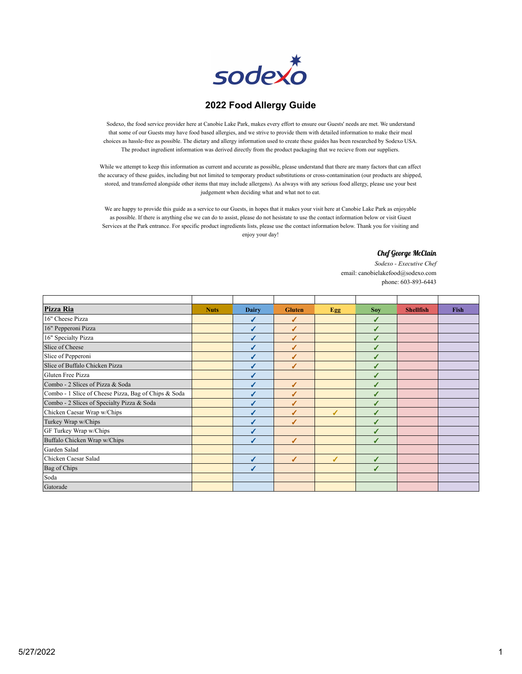

## **2022 Food Allergy Guide**

Sodexo, the food service provider here at Canobie Lake Park, makes every effort to ensure our Guests' needs are met. We understand that some of our Guests may have food based allergies, and we strive to provide them with detailed information to make their meal choices as hassle-free as possible. The dietary and allergy information used to create these guides has been researched by Sodexo USA. The product ingredient information was derived directly from the product packaging that we recieve from our suppliers.

While we attempt to keep this information as current and accurate as possible, please understand that there are many factors that can affect the accuracy of these guides, including but not limited to temporary product substitutions or cross-contamination (our products are shipped, stored, and transferred alongside other items that may include allergens). As always with any serious food allergy, please use your best judgement when deciding what and what not to eat.

We are happy to provide this guide as a service to our Guests, in hopes that it makes your visit here at Canobie Lake Park as enjoyable as possible. If there is anything else we can do to assist, please do not hesistate to use the contact information below or visit Guest Services at the Park entrance. For specific product ingredients lists, please use the contact information below. Thank you for visiting and enjoy your day!

## Chef George McClain

*Sodexo - Executive Chef* email: canobielakefood@sodexo.com phone: 603-893-6443

| Pizza Ria                                            | <b>Nuts</b> | <b>Dairy</b> | <b>Gluten</b> | Egg | <b>Soy</b> | <b>Shellfish</b> | <b>Fish</b> |
|------------------------------------------------------|-------------|--------------|---------------|-----|------------|------------------|-------------|
| 16" Cheese Pizza                                     |             |              | ✔             |     | ✔          |                  |             |
| 16" Pepperoni Pizza                                  |             | J            | ℐ             |     | ✔          |                  |             |
| 16" Specialty Pizza                                  |             |              | ◢             |     |            |                  |             |
| Slice of Cheese                                      |             |              |               |     |            |                  |             |
| Slice of Pepperoni                                   |             |              | J             |     |            |                  |             |
| Slice of Buffalo Chicken Pizza                       |             |              | J             |     |            |                  |             |
| Gluten Free Pizza                                    |             |              |               |     |            |                  |             |
| Combo - 2 Slices of Pizza & Soda                     |             |              |               |     |            |                  |             |
| Combo - 1 Slice of Cheese Pizza, Bag of Chips & Soda |             |              | J             |     |            |                  |             |
| Combo - 2 Slices of Specialty Pizza & Soda           |             |              | J             |     |            |                  |             |
| Chicken Caesar Wrap w/Chips                          |             |              | ℐ             | ℐ   | J          |                  |             |
| Turkey Wrap w/Chips                                  |             |              | J             |     |            |                  |             |
| GF Turkey Wrap w/Chips                               |             |              |               |     |            |                  |             |
| Buffalo Chicken Wrap w/Chips                         |             |              | J             |     |            |                  |             |
| Garden Salad                                         |             |              |               |     |            |                  |             |
| Chicken Caesar Salad                                 |             |              | ℐ             | J   | J          |                  |             |
| <b>Bag</b> of Chips                                  |             |              |               |     |            |                  |             |
| Soda                                                 |             |              |               |     |            |                  |             |
| Gatorade                                             |             |              |               |     |            |                  |             |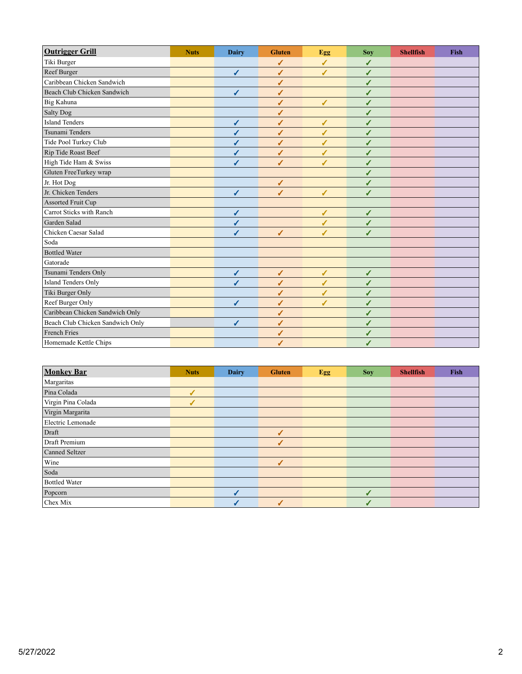| <b>Outrigger Grill</b>           | <b>Nuts</b> | <b>Dairy</b> | <b>Gluten</b> | Egg          | <b>Sov</b>   | <b>Shellfish</b> | <b>Fish</b> |
|----------------------------------|-------------|--------------|---------------|--------------|--------------|------------------|-------------|
| Tiki Burger                      |             |              | ✔             | ✔            | ✔            |                  |             |
| Reef Burger                      |             | $\checkmark$ | $\checkmark$  | ✔            | ✔            |                  |             |
| Caribbean Chicken Sandwich       |             |              | ✔             |              | ✓            |                  |             |
| Beach Club Chicken Sandwich      |             | $\checkmark$ | ✔             |              | ✔            |                  |             |
| Big Kahuna                       |             |              | ✔             | $\checkmark$ | ✔            |                  |             |
| Salty Dog                        |             |              | ✔             |              | ℐ            |                  |             |
| <b>Island Tenders</b>            |             | ✔            | $\checkmark$  | ✔            | ✔            |                  |             |
| Tsunami Tenders                  |             | ✔            | ✔             | ✔            | ✔            |                  |             |
| Tide Pool Turkey Club            |             | ✔            | ✔             | ✔            | ✓            |                  |             |
| Rip Tide Roast Beef              |             | ✔            | ✔             | ✔            | ✓            |                  |             |
| High Tide Ham & Swiss            |             | ✔            | ℐ             | ✔            | ✔            |                  |             |
| Gluten FreeTurkey wrap           |             |              |               |              | ✔            |                  |             |
| Jr. Hot Dog                      |             |              | $\checkmark$  |              | ✔            |                  |             |
| Jr. Chicken Tenders              |             | $\checkmark$ | $\checkmark$  | ✔            | ✔            |                  |             |
| Assorted Fruit Cup               |             |              |               |              |              |                  |             |
| Carrot Sticks with Ranch         |             | $\checkmark$ |               | $\checkmark$ | ✔            |                  |             |
| Garden Salad                     |             | ✔            |               | $\checkmark$ | ✔            |                  |             |
| Chicken Caesar Salad             |             |              | $\checkmark$  | ✔            | ✔            |                  |             |
| Soda                             |             |              |               |              |              |                  |             |
| <b>Bottled Water</b>             |             |              |               |              |              |                  |             |
| Gatorade                         |             |              |               |              |              |                  |             |
| Tsunami Tenders Only             |             | $\checkmark$ | $\checkmark$  | $\checkmark$ | $\checkmark$ |                  |             |
| <b>Island Tenders Only</b>       |             | J            | $\checkmark$  | ✔            | ✔            |                  |             |
| Tiki Burger Only                 |             |              | ✔             | J            | ℐ            |                  |             |
| Reef Burger Only                 |             | ✔            | ✔             | ✔            | ✓            |                  |             |
| Caribbean Chicken Sandwich Only  |             |              | ✔             |              | ✓            |                  |             |
| Beach Club Chicken Sandwich Only |             | ✔            | ✔             |              | ✓            |                  |             |
| <b>French Fries</b>              |             |              | ✔             |              | ✔            |                  |             |
| Homemade Kettle Chips            |             |              | ✔             |              | ℐ            |                  |             |

| <b>Monkey Bar</b>     | <b>Nuts</b>    | <b>Dairy</b> | <b>Gluten</b>            | <b>Egg</b> | <b>Soy</b> | <b>Shellfish</b> | Fish |
|-----------------------|----------------|--------------|--------------------------|------------|------------|------------------|------|
| Margaritas            |                |              |                          |            |            |                  |      |
| Pina Colada           | $\overline{J}$ |              |                          |            |            |                  |      |
| Virgin Pina Colada    | $\checkmark$   |              |                          |            |            |                  |      |
| Virgin Margarita      |                |              |                          |            |            |                  |      |
| Electric Lemonade     |                |              |                          |            |            |                  |      |
| Draft                 |                |              | $\sqrt{2}$               |            |            |                  |      |
| Draft Premium         |                |              | $\overline{\mathcal{L}}$ |            |            |                  |      |
| <b>Canned Seltzer</b> |                |              |                          |            |            |                  |      |
| Wine                  |                |              | ✔                        |            |            |                  |      |
| Soda                  |                |              |                          |            |            |                  |      |
| <b>Bottled Water</b>  |                |              |                          |            |            |                  |      |
| Popcorn               |                |              |                          |            | ✔          |                  |      |
| Chex Mix              |                |              | $\checkmark$             |            | J          |                  |      |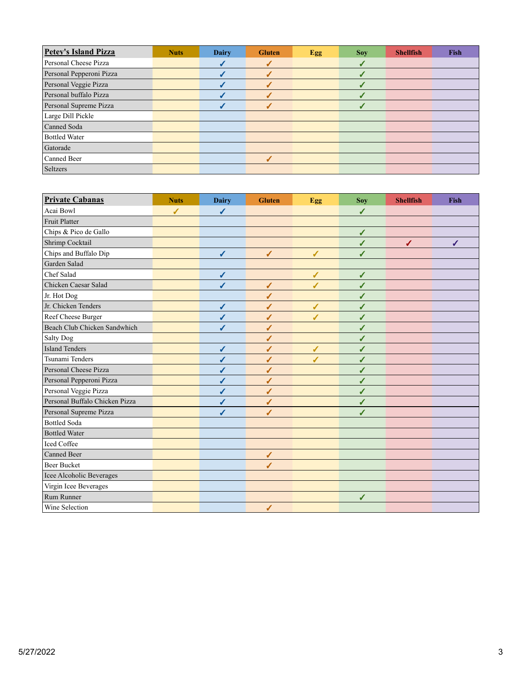| <b>Petey's Island Pizza</b> | <b>Nuts</b> | <b>Dairy</b> | <b>Gluten</b>    | Egg | <b>Soy</b> | <b>Shellfish</b> | <b>Fish</b> |
|-----------------------------|-------------|--------------|------------------|-----|------------|------------------|-------------|
| Personal Cheese Pizza       |             |              | $\boldsymbol{J}$ |     |            |                  |             |
| Personal Pepperoni Pizza    |             |              | √                |     |            |                  |             |
| Personal Veggie Pizza       |             |              | ┙                |     |            |                  |             |
| Personal buffalo Pizza      |             |              |                  |     |            |                  |             |
| Personal Supreme Pizza      |             |              |                  |     |            |                  |             |
| Large Dill Pickle           |             |              |                  |     |            |                  |             |
| Canned Soda                 |             |              |                  |     |            |                  |             |
| <b>Bottled Water</b>        |             |              |                  |     |            |                  |             |
| Gatorade                    |             |              |                  |     |            |                  |             |
| Canned Beer                 |             |              |                  |     |            |                  |             |
| Seltzers                    |             |              |                  |     |            |                  |             |

| <b>Private Cabanas</b>         | <b>Nuts</b>  | <b>Dairy</b> | <b>Gluten</b> | Egg          | Soy          | <b>Shellfish</b> | <b>Fish</b> |
|--------------------------------|--------------|--------------|---------------|--------------|--------------|------------------|-------------|
| Acai Bowl                      | $\checkmark$ | $\checkmark$ |               |              | $\checkmark$ |                  |             |
| Fruit Platter                  |              |              |               |              |              |                  |             |
| Chips & Pico de Gallo          |              |              |               |              | $\checkmark$ |                  |             |
| Shrimp Cocktail                |              |              |               |              | $\checkmark$ | ✔                | ✔           |
| Chips and Buffalo Dip          |              | ✓            | $\checkmark$  | $\checkmark$ | $\checkmark$ |                  |             |
| Garden Salad                   |              |              |               |              |              |                  |             |
| Chef Salad                     |              | $\checkmark$ |               | $\checkmark$ | $\checkmark$ |                  |             |
| Chicken Caesar Salad           |              | ✔            | $\checkmark$  | ✔            | ✔            |                  |             |
| Jr. Hot Dog                    |              |              | $\checkmark$  |              | $\checkmark$ |                  |             |
| Jr. Chicken Tenders            |              | ✔            | ✔             | $\sqrt{2}$   | ✔            |                  |             |
| Reef Cheese Burger             |              | $\checkmark$ | ✔             | J            | ✔            |                  |             |
| Beach Club Chicken Sandwhich   |              | ℐ            | $\sqrt{2}$    |              | ✔            |                  |             |
| Salty Dog                      |              |              | ✔             |              | ✔            |                  |             |
| <b>Island Tenders</b>          |              | $\checkmark$ | ✔             | ✔            | ✔            |                  |             |
| Tsunami Tenders                |              | $\checkmark$ | ✔             | ℐ            | ✔            |                  |             |
| Personal Cheese Pizza          |              | ✔            | $\sqrt{2}$    |              | ✔            |                  |             |
| Personal Pepperoni Pizza       |              | ✓            | ✔             |              | ✔            |                  |             |
| Personal Veggie Pizza          |              | ✔            | ✔             |              | ✔            |                  |             |
| Personal Buffalo Chicken Pizza |              | $\checkmark$ | ✔             |              | ✔            |                  |             |
| Personal Supreme Pizza         |              |              | ✔             |              | J            |                  |             |
| <b>Bottled Soda</b>            |              |              |               |              |              |                  |             |
| <b>Bottled Water</b>           |              |              |               |              |              |                  |             |
| <b>Iced Coffee</b>             |              |              |               |              |              |                  |             |
| Canned Beer                    |              |              | $\checkmark$  |              |              |                  |             |
| <b>Beer Bucket</b>             |              |              | ✔             |              |              |                  |             |
| Icee Alcoholic Beverages       |              |              |               |              |              |                  |             |
| Virgin Icee Beverages          |              |              |               |              |              |                  |             |
| Rum Runner                     |              |              |               |              | $\checkmark$ |                  |             |
| Wine Selection                 |              |              | ✔             |              |              |                  |             |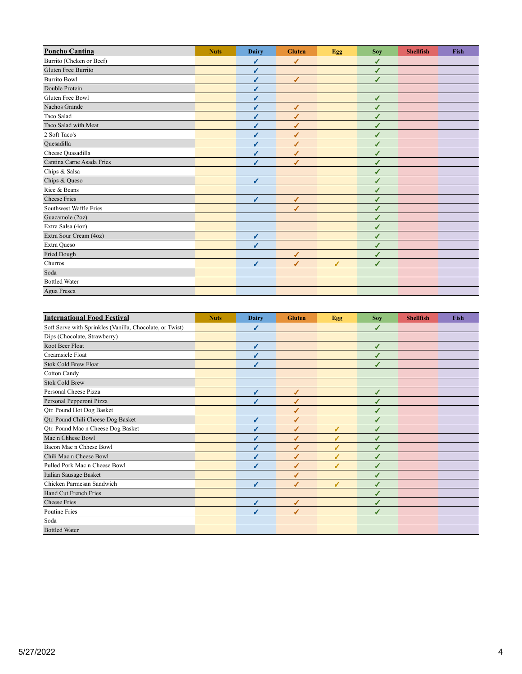| <b>Poncho Cantina</b>     | <b>Nuts</b> | <b>Dairy</b> | <b>Gluten</b> | Egg | <b>Soy</b>   | <b>Shellfish</b> | <b>Fish</b> |
|---------------------------|-------------|--------------|---------------|-----|--------------|------------------|-------------|
| Burrito (Chcken or Beef)  |             | ✔            | ✔             |     | ✔            |                  |             |
| Gluten Free Burrito       |             | √            |               |     | ✔            |                  |             |
| <b>Burrito Bowl</b>       |             | ✔            | $\checkmark$  |     | ✔            |                  |             |
| Double Protein            |             | ✔            |               |     |              |                  |             |
| Gluten Free Bowl          |             | J            |               |     | ✔            |                  |             |
| Nachos Grande             |             | ✔            | ✔             |     |              |                  |             |
| Taco Salad                |             | ✔            | ℐ             |     | ✔            |                  |             |
| Taco Salad with Meat      |             | J            | J             |     | ✔            |                  |             |
| 2 Soft Taco's             |             | ✔            | J             |     |              |                  |             |
| Quesadilla                |             | ✔            | ℐ             |     | ✔            |                  |             |
| Cheese Quasadilla         |             | ✔            | ℐ             |     | ✔            |                  |             |
| Cantina Carne Asada Fries |             | ✔            | ℐ             |     | ✔            |                  |             |
| Chips & Salsa             |             |              |               |     |              |                  |             |
| Chips & Queso             |             | ✔            |               |     | ✔            |                  |             |
| Rice & Beans              |             |              |               |     | ✔            |                  |             |
| <b>Cheese Fries</b>       |             | ✔            | $\checkmark$  |     | $\checkmark$ |                  |             |
| Southwest Waffle Fries    |             |              | ℐ             |     |              |                  |             |
| Guacamole (2oz)           |             |              |               |     | √            |                  |             |
| Extra Salsa (4oz)         |             |              |               |     |              |                  |             |
| Extra Sour Cream (4oz)    |             | ✔            |               |     |              |                  |             |
| Extra Queso               |             | ℐ            |               |     |              |                  |             |
| Fried Dough               |             |              | ✔             |     | ✔            |                  |             |
| Churros                   |             | ✔            | J             | ✔   | J            |                  |             |
| Soda                      |             |              |               |     |              |                  |             |
| <b>Bottled Water</b>      |             |              |               |     |              |                  |             |
| Agua Fresca               |             |              |               |     |              |                  |             |

| <b>International Food Festival</b>                       | <b>Nuts</b> | <b>Dairy</b> | <b>Gluten</b> | Egg | <b>Soy</b> | <b>Shellfish</b> | <b>Fish</b> |
|----------------------------------------------------------|-------------|--------------|---------------|-----|------------|------------------|-------------|
| Soft Serve with Sprinkles (Vanilla, Chocolate, or Twist) |             | ✔            |               |     | ✔          |                  |             |
| Dips (Chocolate, Strawberry)                             |             |              |               |     |            |                  |             |
| Root Beer Float                                          |             | ✔            |               |     | ℐ          |                  |             |
| Creamsicle Float                                         |             | ✔            |               |     | ✔          |                  |             |
| <b>Stok Cold Brew Float</b>                              |             | ℐ            |               |     | ℐ          |                  |             |
| Cotton Candy                                             |             |              |               |     |            |                  |             |
| <b>Stok Cold Brew</b>                                    |             |              |               |     |            |                  |             |
| Personal Cheese Pizza                                    |             | ✔            | ✔             |     | ✔          |                  |             |
| Personal Pepperoni Pizza                                 |             | J            | J             |     |            |                  |             |
| Qtr. Pound Hot Dog Basket                                |             |              |               |     |            |                  |             |
| Qtr. Pound Chili Cheese Dog Basket                       |             | ✔            |               |     |            |                  |             |
| Qtr. Pound Mac n Cheese Dog Basket                       |             | J            | ℐ             | ✔   |            |                  |             |
| Mac n Chhese Bowl                                        |             |              |               | ✔   |            |                  |             |
| Bacon Mac n Chhese Bowl                                  |             |              |               | J   |            |                  |             |
| Chili Mac n Cheese Bowl                                  |             | J            | ℐ             | ✔   | ✔          |                  |             |
| Pulled Pork Mac n Cheese Bowl                            |             | J            | ℐ             | ℐ   | ℐ          |                  |             |
| Italian Sausage Basket                                   |             |              | J             |     |            |                  |             |
| Chicken Parmesan Sandwich                                |             | J            | J             | ℐ   |            |                  |             |
| Hand Cut French Fries                                    |             |              |               |     |            |                  |             |
| <b>Cheese Fries</b>                                      |             | J            | ✔             |     |            |                  |             |
| Poutine Fries                                            |             | ◢            | s             |     |            |                  |             |
| Soda                                                     |             |              |               |     |            |                  |             |
| <b>Bottled Water</b>                                     |             |              |               |     |            |                  |             |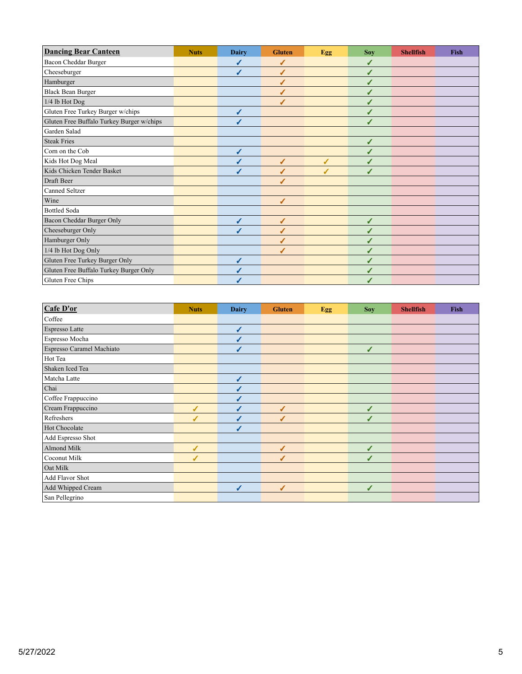| <b>Dancing Bear Canteen</b>               | <b>Nuts</b> | <b>Dairy</b> | <b>Gluten</b> | Egg | <b>Soy</b> | <b>Shellfish</b> | <b>Fish</b> |
|-------------------------------------------|-------------|--------------|---------------|-----|------------|------------------|-------------|
| Bacon Cheddar Burger                      |             |              |               |     |            |                  |             |
| Cheeseburger                              |             |              | ✔             |     | ✔          |                  |             |
| Hamburger                                 |             |              | J             |     |            |                  |             |
| <b>Black Bean Burger</b>                  |             |              | ✔             |     | ℐ          |                  |             |
| 1/4 lb Hot Dog                            |             |              | ℐ             |     |            |                  |             |
| Gluten Free Turkey Burger w/chips         |             | J            |               |     |            |                  |             |
| Gluten Free Buffalo Turkey Burger w/chips |             |              |               |     |            |                  |             |
| Garden Salad                              |             |              |               |     |            |                  |             |
| <b>Steak Fries</b>                        |             |              |               |     | ✔          |                  |             |
| Corn on the Cob                           |             |              |               |     |            |                  |             |
| Kids Hot Dog Meal                         |             |              | ✔             | ✔   | ✔          |                  |             |
| Kids Chicken Tender Basket                |             |              | ℐ             | ℐ   | ℐ          |                  |             |
| Draft Beer                                |             |              | ℐ             |     |            |                  |             |
| Canned Seltzer                            |             |              |               |     |            |                  |             |
| Wine                                      |             |              | ✔             |     |            |                  |             |
| <b>Bottled Soda</b>                       |             |              |               |     |            |                  |             |
| Bacon Cheddar Burger Only                 |             | ℐ            | ✔             |     | ✔          |                  |             |
| Cheeseburger Only                         |             | J            |               |     | ✔          |                  |             |
| Hamburger Only                            |             |              |               |     |            |                  |             |
| 1/4 lb Hot Dog Only                       |             |              | ℐ             |     | ✔          |                  |             |
| Gluten Free Turkey Burger Only            |             |              |               |     | ℐ          |                  |             |
| Gluten Free Buffalo Turkey Burger Only    |             |              |               |     |            |                  |             |
| Gluten Free Chips                         |             |              |               |     |            |                  |             |

| Cafe D'or                 | <b>Nuts</b> | <b>Dairy</b> | <b>Gluten</b> | Egg | <b>Soy</b> | <b>Shellfish</b> | Fish |
|---------------------------|-------------|--------------|---------------|-----|------------|------------------|------|
| Coffee                    |             |              |               |     |            |                  |      |
| <b>Espresso Latte</b>     |             | ✔            |               |     |            |                  |      |
| Espresso Mocha            |             |              |               |     |            |                  |      |
| Espresso Caramel Machiato |             |              |               |     | ✔          |                  |      |
| Hot Tea                   |             |              |               |     |            |                  |      |
| Shaken Iced Tea           |             |              |               |     |            |                  |      |
| Matcha Latte              |             |              |               |     |            |                  |      |
| Chai                      |             |              |               |     |            |                  |      |
| Coffee Frappuccino        |             |              |               |     |            |                  |      |
| Cream Frappuccino         | ✔           |              | ✔             |     | ✔          |                  |      |
| Refreshers                | J           |              |               |     | ✔          |                  |      |
| Hot Chocolate             |             |              |               |     |            |                  |      |
| Add Espresso Shot         |             |              |               |     |            |                  |      |
| Almond Milk               | ✔           |              | ✔             |     | ✔          |                  |      |
| Coconut Milk              | ✔           |              | ✔             |     | ✔          |                  |      |
| Oat Milk                  |             |              |               |     |            |                  |      |
| Add Flavor Shot           |             |              |               |     |            |                  |      |
| Add Whipped Cream         |             | ◢            | ✔             |     | ✔          |                  |      |
| San Pellegrino            |             |              |               |     |            |                  |      |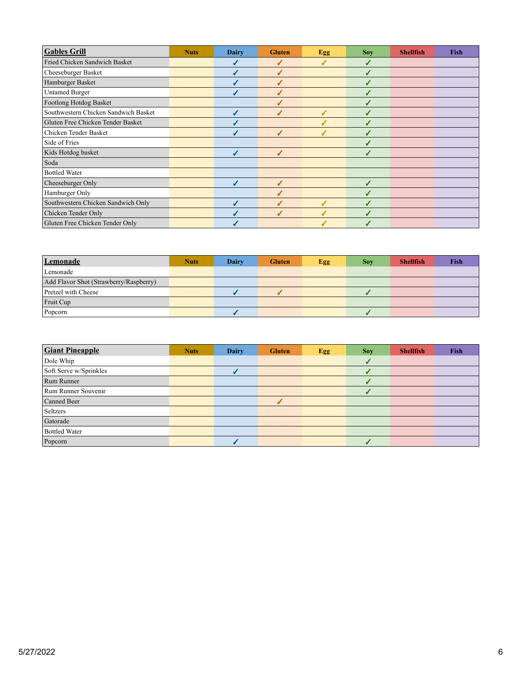| <b>Gables Grill</b>                  | <b>Nuts</b> | Dairy | <b>Gluten</b> | <b>Egg</b> | <b>Soy</b> | <b>Shellfish</b> | <b>Fish</b> |
|--------------------------------------|-------------|-------|---------------|------------|------------|------------------|-------------|
| Fried Chicken Sandwich Basket        |             |       | J             | ℐ          |            |                  |             |
| Cheeseburger Basket                  |             |       | J             |            |            |                  |             |
| Hamburger Basket                     |             |       | J             |            |            |                  |             |
| <b>Untamed Burger</b>                |             |       |               |            |            |                  |             |
| Footlong Hotdog Basket               |             |       |               |            |            |                  |             |
| Southwestern Chicken Sandwich Basket |             |       |               |            |            |                  |             |
| Gluten Free Chicken Tender Basket    |             |       |               |            |            |                  |             |
| Chicken Tender Basket                |             |       | J             | J          |            |                  |             |
| Side of Fries                        |             |       |               |            |            |                  |             |
| Kids Hotdog basket                   |             |       | ✔             |            | ✔          |                  |             |
| Soda                                 |             |       |               |            |            |                  |             |
| <b>Bottled Water</b>                 |             |       |               |            |            |                  |             |
| Cheeseburger Only                    |             |       | J             |            |            |                  |             |
| Hamburger Only                       |             |       |               |            |            |                  |             |
| Southwestern Chicken Sandwich Only   |             |       | J             | J          |            |                  |             |
| Chicken Tender Only                  |             |       | J             | J          |            |                  |             |
| Gluten Free Chicken Tender Only      |             |       |               |            |            |                  |             |

| Lemonade                               | Nuts. | Dairy | <b>Gluten</b> | Egg | <b>Sov</b> | <b>Shellfish</b> | Fish |
|----------------------------------------|-------|-------|---------------|-----|------------|------------------|------|
| Lemonade                               |       |       |               |     |            |                  |      |
| Add Flavor Shot (Strawberry/Raspberry) |       |       |               |     |            |                  |      |
| Pretzel with Cheese                    |       |       |               |     |            |                  |      |
| Fruit Cup                              |       |       |               |     |            |                  |      |
| Popcorn                                |       |       |               |     |            |                  |      |

| <b>Giant Pineapple</b> | <b>Nuts</b> | <b>Dairy</b> | <b>Gluten</b> | <b>Egg</b> | <b>Soy</b> | <b>Shellfish</b> | Fish |
|------------------------|-------------|--------------|---------------|------------|------------|------------------|------|
| Dole Whip              |             |              |               |            |            |                  |      |
| Soft Serve w/Sprinkles |             |              |               |            |            |                  |      |
| Rum Runner             |             |              |               |            |            |                  |      |
| Rum Runner Souvenir    |             |              |               |            |            |                  |      |
| Canned Beer            |             |              |               |            |            |                  |      |
| Seltzers               |             |              |               |            |            |                  |      |
| Gatorade               |             |              |               |            |            |                  |      |
| <b>Bottled Water</b>   |             |              |               |            |            |                  |      |
| Popcorn                |             |              |               |            |            |                  |      |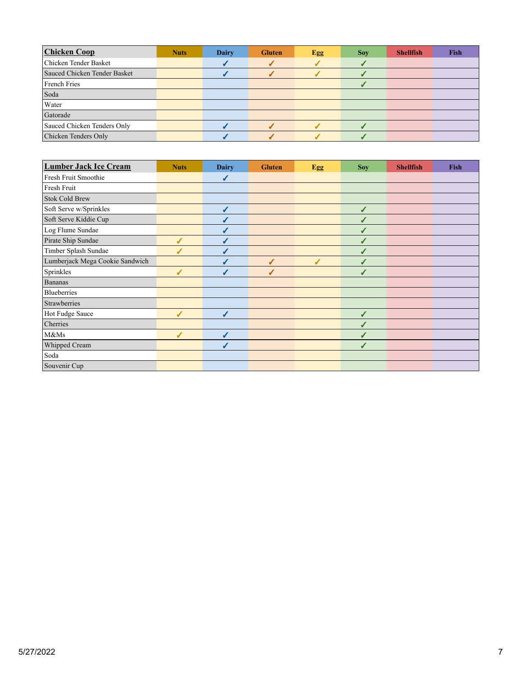| <b>Chicken Coop</b>          | <b>Nuts</b> | Dairy | <b>Gluten</b> | <b>Egg</b> | <b>Sov</b> | <b>Shellfish</b> | Fish |
|------------------------------|-------------|-------|---------------|------------|------------|------------------|------|
| Chicken Tender Basket        |             |       |               |            |            |                  |      |
| Sauced Chicken Tender Basket |             |       |               |            |            |                  |      |
| French Fries                 |             |       |               |            |            |                  |      |
| Soda                         |             |       |               |            |            |                  |      |
| Water                        |             |       |               |            |            |                  |      |
| Gatorade                     |             |       |               |            |            |                  |      |
| Sauced Chicken Tenders Only  |             |       |               |            |            |                  |      |
| Chicken Tenders Only         |             |       |               |            |            |                  |      |

| <b>Lumber Jack Ice Cream</b>    | <b>Nuts</b> | <b>Dairy</b> | <b>Gluten</b> | Egg | <b>Soy</b> | <b>Shellfish</b> | <b>Fish</b> |
|---------------------------------|-------------|--------------|---------------|-----|------------|------------------|-------------|
| Fresh Fruit Smoothie            |             | ✓            |               |     |            |                  |             |
| Fresh Fruit                     |             |              |               |     |            |                  |             |
| <b>Stok Cold Brew</b>           |             |              |               |     |            |                  |             |
| Soft Serve w/Sprinkles          |             | ✔            |               |     | ✔          |                  |             |
| Soft Serve Kiddie Cup           |             |              |               |     |            |                  |             |
| Log Flume Sundae                |             |              |               |     | ✔          |                  |             |
| Pirate Ship Sundae              | ℐ           | ✔            |               |     | ✔          |                  |             |
| Timber Splash Sundae            | ℐ           | ✔            |               |     | ✔          |                  |             |
| Lumberjack Mega Cookie Sandwich |             |              | ✔             | ✔   | ✔          |                  |             |
| Sprinkles                       | J           |              | J             |     |            |                  |             |
| <b>Bananas</b>                  |             |              |               |     |            |                  |             |
| <b>Blueberries</b>              |             |              |               |     |            |                  |             |
| Strawberries                    |             |              |               |     |            |                  |             |
| Hot Fudge Sauce                 | J           | J            |               |     | J          |                  |             |
| Cherries                        |             |              |               |     | J          |                  |             |
| M&Ms                            | ✔           | ✔            |               |     |            |                  |             |
| Whipped Cream                   |             | ℐ            |               |     | ✔          |                  |             |
| Soda                            |             |              |               |     |            |                  |             |
| Souvenir Cup                    |             |              |               |     |            |                  |             |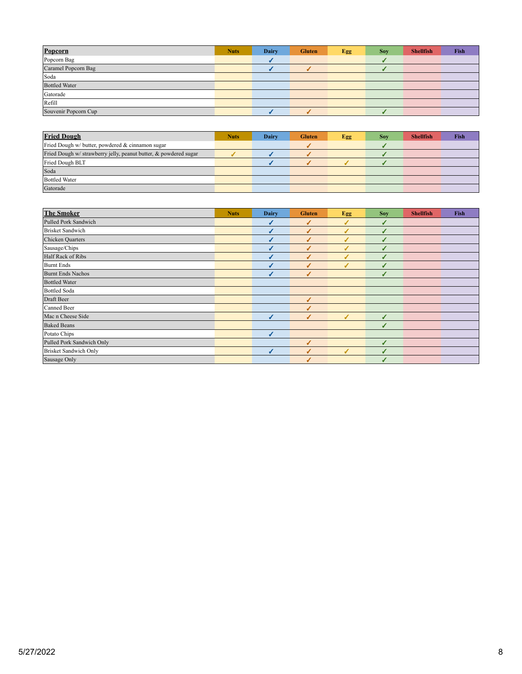| Popcorn              | <b>Nuts</b> | Dairy | <b>Gluten</b> | Egg | <b>Soy</b> | <b>Shellfish</b> | Fish |
|----------------------|-------------|-------|---------------|-----|------------|------------------|------|
| Popcorn Bag          |             |       |               |     |            |                  |      |
| Caramel Popcorn Bag  |             |       |               |     |            |                  |      |
| Soda                 |             |       |               |     |            |                  |      |
| <b>Bottled Water</b> |             |       |               |     |            |                  |      |
| Gatorade             |             |       |               |     |            |                  |      |
| Refill               |             |       |               |     |            |                  |      |
| Souvenir Popcorn Cup |             |       |               |     |            |                  |      |

| <b>Fried Dough</b>                                               | <b>Nuts</b> | Dairy | <b>Gluten</b> | Egg | Sov | <b>Shellfish</b> | Fish |
|------------------------------------------------------------------|-------------|-------|---------------|-----|-----|------------------|------|
| Fried Dough w/ butter, powdered & cinnamon sugar                 |             |       |               |     |     |                  |      |
| Fried Dough w/ strawberry jelly, peanut butter, & powdered sugar |             |       |               |     |     |                  |      |
| Fried Dough BLT                                                  |             |       |               |     |     |                  |      |
| Soda                                                             |             |       |               |     |     |                  |      |
| <b>Bottled Water</b>                                             |             |       |               |     |     |                  |      |
| Gatorade                                                         |             |       |               |     |     |                  |      |

| <b>The Smoker</b>            | <b>Nuts</b> | <b>Dairy</b> | <b>Gluten</b> | Egg | <b>Soy</b> | <b>Shellfish</b> | Fish |
|------------------------------|-------------|--------------|---------------|-----|------------|------------------|------|
| Pulled Pork Sandwich         |             |              | J             | ℐ   | J          |                  |      |
| <b>Brisket Sandwich</b>      |             |              | J             | J   |            |                  |      |
| <b>Chicken Quarters</b>      |             |              |               | J   |            |                  |      |
| Sausage/Chips                |             |              |               | ℐ   |            |                  |      |
| Half Rack of Ribs            |             |              |               | J   | J          |                  |      |
| Burnt Ends                   |             |              |               | J   |            |                  |      |
| <b>Burnt Ends Nachos</b>     |             |              | √             |     | ✔          |                  |      |
| <b>Bottled Water</b>         |             |              |               |     |            |                  |      |
| <b>Bottled Soda</b>          |             |              |               |     |            |                  |      |
| Draft Beer                   |             |              | J             |     |            |                  |      |
| Canned Beer                  |             |              | J             |     |            |                  |      |
| Mac n Cheese Side            |             | ℐ            | ✔             | ℐ   | ✔          |                  |      |
| <b>Baked Beans</b>           |             |              |               |     | J          |                  |      |
| Potato Chips                 |             | J            |               |     |            |                  |      |
| Pulled Pork Sandwich Only    |             |              |               |     |            |                  |      |
| <b>Brisket Sandwich Only</b> |             |              | J             | J   |            |                  |      |
| Sausage Only                 |             |              |               |     |            |                  |      |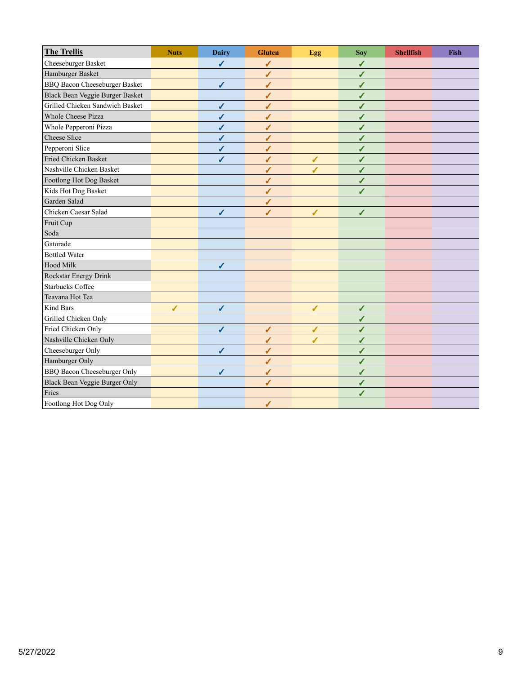| <b>The Trellis</b>                   | <b>Nuts</b> | <b>Dairy</b> | <b>Gluten</b> | Egg | Soy | <b>Shellfish</b> | Fish |
|--------------------------------------|-------------|--------------|---------------|-----|-----|------------------|------|
| Cheeseburger Basket                  |             | ✔            | √             |     | ✔   |                  |      |
| Hamburger Basket                     |             |              | ✔             |     | √   |                  |      |
| <b>BBQ Bacon Cheeseburger Basket</b> |             | ✔            | ✔             |     | ✔   |                  |      |
| Black Bean Veggie Burger Basket      |             |              | ✔             |     | ✔   |                  |      |
| Grilled Chicken Sandwich Basket      |             | √            | ✔             |     | √   |                  |      |
| <b>Whole Cheese Pizza</b>            |             | ✔            | ✔             |     | ✔   |                  |      |
| Whole Pepperoni Pizza                |             | ✔            | ✔             |     | ✔   |                  |      |
| Cheese Slice                         |             | ✔            | ✔             |     | ✔   |                  |      |
| Pepperoni Slice                      |             | ✔            | ✔             |     | ✔   |                  |      |
| Fried Chicken Basket                 |             | ✔            | ✔             | ✔   | ✔   |                  |      |
| Nashville Chicken Basket             |             |              | √             | ✔   | ✔   |                  |      |
| Footlong Hot Dog Basket              |             |              | √             |     | ✔   |                  |      |
| Kids Hot Dog Basket                  |             |              | √             |     | J   |                  |      |
| Garden Salad                         |             |              | ✔             |     |     |                  |      |
| Chicken Caesar Salad                 |             | ✔            | ✔             | ✔   | ✔   |                  |      |
| Fruit Cup                            |             |              |               |     |     |                  |      |
| Soda                                 |             |              |               |     |     |                  |      |
| Gatorade                             |             |              |               |     |     |                  |      |
| <b>Bottled Water</b>                 |             |              |               |     |     |                  |      |
| Hood Milk                            |             | $\checkmark$ |               |     |     |                  |      |
| Rockstar Energy Drink                |             |              |               |     |     |                  |      |
| <b>Starbucks Coffee</b>              |             |              |               |     |     |                  |      |
| Teavana Hot Tea                      |             |              |               |     |     |                  |      |
| Kind Bars                            | ✔           | $\checkmark$ |               | ✔   | ✔   |                  |      |
| Grilled Chicken Only                 |             |              |               |     | ✔   |                  |      |
| Fried Chicken Only                   |             | ✔            | $\checkmark$  | ✔   | ✔   |                  |      |
| Nashville Chicken Only               |             |              | √             |     | ✔   |                  |      |
| Cheeseburger Only                    |             | ✔            | ✔             |     | ✔   |                  |      |
| Hamburger Only                       |             |              | ✔             |     | ✔   |                  |      |
| <b>BBQ Bacon Cheeseburger Only</b>   |             | ✔            | √             |     | ✔   |                  |      |
| <b>Black Bean Veggie Burger Only</b> |             |              | $\sqrt{2}$    |     | ✔   |                  |      |
| Fries                                |             |              |               |     | ✔   |                  |      |
| Footlong Hot Dog Only                |             |              | ✔             |     |     |                  |      |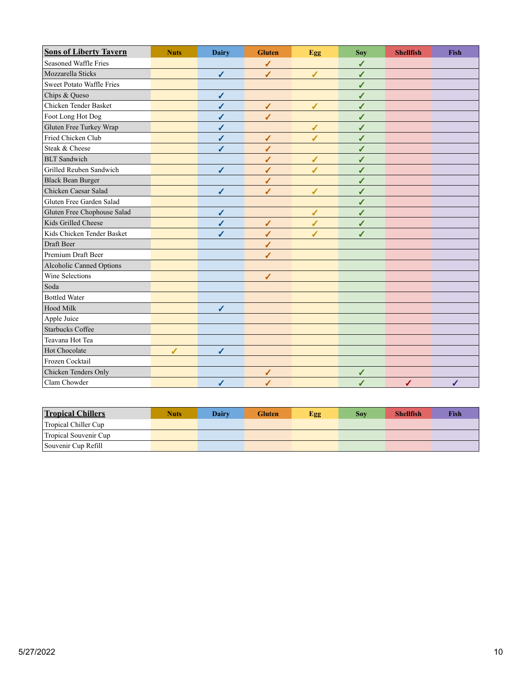| <b>Sons of Liberty Tavern</b>    | <b>Nuts</b> | <b>Dairy</b> | <b>Gluten</b> | Egg | <b>Soy</b> | <b>Shellfish</b> | Fish |
|----------------------------------|-------------|--------------|---------------|-----|------------|------------------|------|
| Seasoned Waffle Fries            |             |              | ✔             |     | ✔          |                  |      |
| Mozzarella Sticks                |             | $\checkmark$ | ✔             | ✔   | ✓          |                  |      |
| <b>Sweet Potato Waffle Fries</b> |             |              |               |     | ✔          |                  |      |
| Chips & Queso                    |             | $\checkmark$ |               |     | ✔          |                  |      |
| Chicken Tender Basket            |             | ✔            | $\checkmark$  | ✔   | ✔          |                  |      |
| Foot Long Hot Dog                |             | ✔            | ✔             |     | ✓          |                  |      |
| Gluten Free Turkey Wrap          |             | ✔            |               | ✔   | ✔          |                  |      |
| Fried Chicken Club               |             | √            | ✔             | ✔   | ✔          |                  |      |
| Steak & Cheese                   |             | J            | ✔             |     | ✔          |                  |      |
| <b>BLT</b> Sandwich              |             |              | ✔             | ✔   | ✔          |                  |      |
| Grilled Reuben Sandwich          |             | ✔            | ✔             | J   | ✓          |                  |      |
| <b>Black Bean Burger</b>         |             |              | ✔             |     | ✔          |                  |      |
| Chicken Caesar Salad             |             | $\checkmark$ | ✔             | ✔   | ✔          |                  |      |
| Gluten Free Garden Salad         |             |              |               |     | ✔          |                  |      |
| Gluten Free Chophouse Salad      |             | ✔            |               | ✔   | ✔          |                  |      |
| Kids Grilled Cheese              |             | ✔            | ✔             | ✔   | ✔          |                  |      |
| Kids Chicken Tender Basket       |             | ✔            | ✔             |     | ℐ          |                  |      |
| Draft Beer                       |             |              | ✔             |     |            |                  |      |
| Premium Draft Beer               |             |              | ✔             |     |            |                  |      |
| Alcoholic Canned Options         |             |              |               |     |            |                  |      |
| <b>Wine Selections</b>           |             |              | ✔             |     |            |                  |      |
| Soda                             |             |              |               |     |            |                  |      |
| <b>Bottled Water</b>             |             |              |               |     |            |                  |      |
| Hood Milk                        |             | $\checkmark$ |               |     |            |                  |      |
| Apple Juice                      |             |              |               |     |            |                  |      |
| <b>Starbucks Coffee</b>          |             |              |               |     |            |                  |      |
| Teavana Hot Tea                  |             |              |               |     |            |                  |      |
| Hot Chocolate                    | ✔           | ✔            |               |     |            |                  |      |
| Frozen Cocktail                  |             |              |               |     |            |                  |      |
| Chicken Tenders Only             |             |              | ✔             |     | ✔          |                  |      |
| Clam Chowder                     |             | ✓            | ✔             |     | ✓          | ✔                | ✔    |

| <b>Tropical Chillers</b> | Nuts | Dairy | <b>Gluten</b> | Egg | Sov | <b>Shellfish</b> | Fish |
|--------------------------|------|-------|---------------|-----|-----|------------------|------|
| Tropical Chiller Cup     |      |       |               |     |     |                  |      |
| Tropical Souvenir Cup    |      |       |               |     |     |                  |      |
| Souvenir Cup Refill      |      |       |               |     |     |                  |      |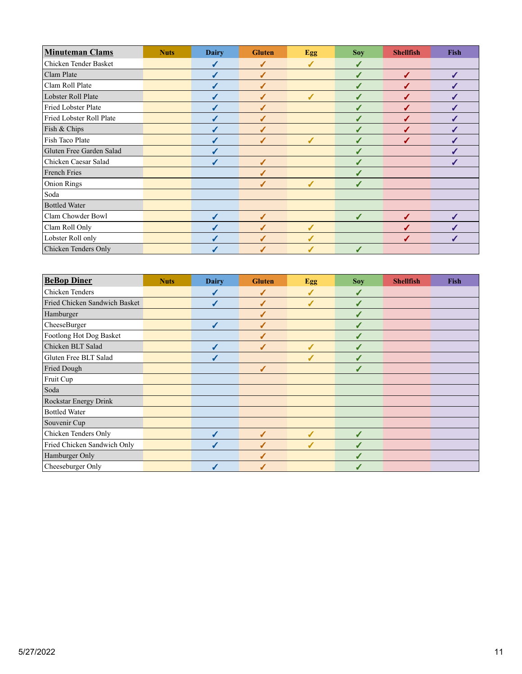| <b>Minuteman Clams</b>   | <b>Nuts</b> | <b>Dairy</b> | <b>Gluten</b> | Egg | <b>Soy</b> | <b>Shellfish</b> | <b>Fish</b> |
|--------------------------|-------------|--------------|---------------|-----|------------|------------------|-------------|
| Chicken Tender Basket    |             |              | ✔             |     |            |                  |             |
| Clam Plate               |             |              | J             |     |            | ✔                | ✔           |
| Clam Roll Plate          |             |              | J             |     | J          | J                | J           |
| Lobster Roll Plate       |             |              | J             | ℐ   | ℐ          |                  | J           |
| Fried Lobster Plate      |             |              | J             |     | ✔          | ℐ                | ✔           |
| Fried Lobster Roll Plate |             |              | J             |     | ✔          | ✔                |             |
| Fish & Chips             |             |              | ✔             |     | ✔          | ✔                | J           |
| Fish Taco Plate          |             |              | ✔             | ✔   | ✔          | J                |             |
| Gluten Free Garden Salad |             |              |               |     | ✔          |                  |             |
| Chicken Caesar Salad     |             | ✔            | J             |     |            |                  | ✔           |
| <b>French Fries</b>      |             |              |               |     |            |                  |             |
| <b>Onion Rings</b>       |             |              | J             | ✔   | ✔          |                  |             |
| Soda                     |             |              |               |     |            |                  |             |
| <b>Bottled Water</b>     |             |              |               |     |            |                  |             |
| Clam Chowder Bowl        |             |              | J             |     |            |                  |             |
| Clam Roll Only           |             |              | J             | J   |            |                  |             |
| Lobster Roll only        |             |              |               |     |            |                  |             |
| Chicken Tenders Only     |             |              |               |     |            |                  |             |

| <b>BeBop Diner</b>            | <b>Nuts</b> | <b>Dairy</b> | <b>Gluten</b>    | Egg                      | <b>Soy</b> | <b>Shellfish</b> | <b>Fish</b> |
|-------------------------------|-------------|--------------|------------------|--------------------------|------------|------------------|-------------|
| Chicken Tenders               |             |              | ✔                | J                        | ✔          |                  |             |
| Fried Chicken Sandwich Basket |             |              | ✔                | $\overline{\mathcal{L}}$ | ✔          |                  |             |
| Hamburger                     |             |              | $\sqrt{2}$       |                          | ✔          |                  |             |
| CheeseBurger                  |             |              | $\boldsymbol{J}$ |                          | ✔          |                  |             |
| Footlong Hot Dog Basket       |             |              | J                |                          | ✔          |                  |             |
| Chicken BLT Salad             |             |              | $\overline{ }$   |                          |            |                  |             |
| Gluten Free BLT Salad         |             |              |                  |                          |            |                  |             |
| <b>Fried Dough</b>            |             |              | J                |                          | √          |                  |             |
| Fruit Cup                     |             |              |                  |                          |            |                  |             |
| Soda                          |             |              |                  |                          |            |                  |             |
| <b>Rockstar Energy Drink</b>  |             |              |                  |                          |            |                  |             |
| <b>Bottled Water</b>          |             |              |                  |                          |            |                  |             |
| Souvenir Cup                  |             |              |                  |                          |            |                  |             |
| Chicken Tenders Only          |             |              | $\boldsymbol{J}$ | ℐ                        | ✔          |                  |             |
| Fried Chicken Sandwich Only   |             |              | ℐ                | J                        | J          |                  |             |
| Hamburger Only                |             |              |                  |                          | J          |                  |             |
| Cheeseburger Only             |             |              |                  |                          |            |                  |             |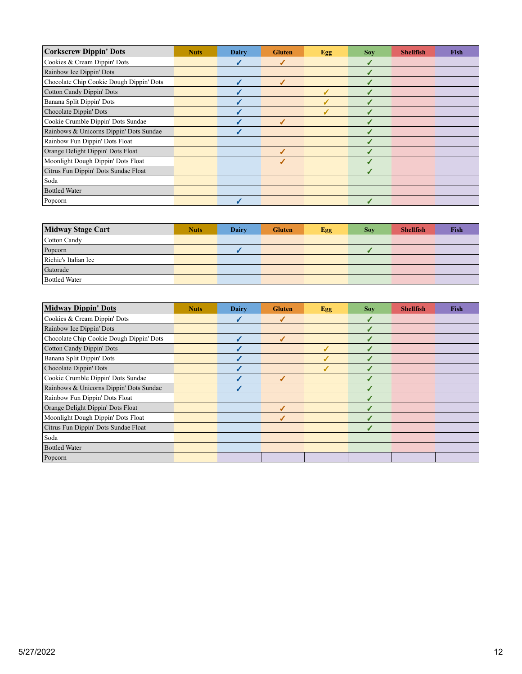| <b>Corkscrew Dippin' Dots</b>            | <b>Nuts</b> | <b>Dairy</b> | <b>Gluten</b> | Egg | <b>Sov</b> | <b>Shellfish</b> | Fish |
|------------------------------------------|-------------|--------------|---------------|-----|------------|------------------|------|
| Cookies & Cream Dippin' Dots             |             |              |               |     |            |                  |      |
| Rainbow Ice Dippin' Dots                 |             |              |               |     |            |                  |      |
| Chocolate Chip Cookie Dough Dippin' Dots |             |              |               |     |            |                  |      |
| <b>Cotton Candy Dippin' Dots</b>         |             |              |               |     |            |                  |      |
| Banana Split Dippin' Dots                |             |              |               |     |            |                  |      |
| Chocolate Dippin' Dots                   |             |              |               |     |            |                  |      |
| Cookie Crumble Dippin' Dots Sundae       |             |              |               |     |            |                  |      |
| Rainbows & Unicorns Dippin' Dots Sundae  |             |              |               |     |            |                  |      |
| Rainbow Fun Dippin' Dots Float           |             |              |               |     |            |                  |      |
| Orange Delight Dippin' Dots Float        |             |              |               |     |            |                  |      |
| Moonlight Dough Dippin' Dots Float       |             |              |               |     |            |                  |      |
| Citrus Fun Dippin' Dots Sundae Float     |             |              |               |     |            |                  |      |
| Soda                                     |             |              |               |     |            |                  |      |
| <b>Bottled Water</b>                     |             |              |               |     |            |                  |      |
| Popcorn                                  |             |              |               |     |            |                  |      |

| <b>Midway Stage Cart</b> | <b>Nuts</b> | <b>Dairy</b> | <b>Gluten</b> | Egg | <b>Sov</b> | <b>Shellfish</b> | <b>Fish</b> |
|--------------------------|-------------|--------------|---------------|-----|------------|------------------|-------------|
| Cotton Candy             |             |              |               |     |            |                  |             |
| Popcorn                  |             |              |               |     |            |                  |             |
| Richie's Italian Ice     |             |              |               |     |            |                  |             |
| Gatorade                 |             |              |               |     |            |                  |             |
| <b>Bottled Water</b>     |             |              |               |     |            |                  |             |

| <b>Midway Dippin' Dots</b>               | <b>Nuts</b> | Dairy | <b>Gluten</b> | Egg | <b>Soy</b> | <b>Shellfish</b> | <b>Fish</b> |
|------------------------------------------|-------------|-------|---------------|-----|------------|------------------|-------------|
| Cookies & Cream Dippin' Dots             |             |       |               |     |            |                  |             |
| Rainbow Ice Dippin' Dots                 |             |       |               |     |            |                  |             |
| Chocolate Chip Cookie Dough Dippin' Dots |             |       | ℐ             |     |            |                  |             |
| <b>Cotton Candy Dippin' Dots</b>         |             |       |               |     |            |                  |             |
| Banana Split Dippin' Dots                |             |       |               |     | J          |                  |             |
| Chocolate Dippin' Dots                   |             |       |               |     |            |                  |             |
| Cookie Crumble Dippin' Dots Sundae       |             |       |               |     |            |                  |             |
| Rainbows & Unicorns Dippin' Dots Sundae  |             |       |               |     |            |                  |             |
| Rainbow Fun Dippin' Dots Float           |             |       |               |     |            |                  |             |
| Orange Delight Dippin' Dots Float        |             |       |               |     |            |                  |             |
| Moonlight Dough Dippin' Dots Float       |             |       |               |     |            |                  |             |
| Citrus Fun Dippin' Dots Sundae Float     |             |       |               |     | J          |                  |             |
| Soda                                     |             |       |               |     |            |                  |             |
| <b>Bottled Water</b>                     |             |       |               |     |            |                  |             |
| Popcorn                                  |             |       |               |     |            |                  |             |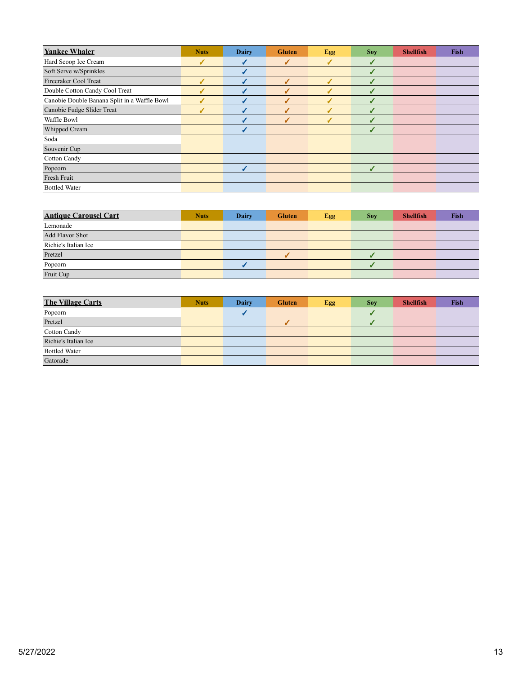| <b>Yankee Whaler</b>                         | <b>Nuts</b> | <b>Dairy</b> | <b>Gluten</b> | Egg | <b>Soy</b>   | <b>Shellfish</b> | <b>Fish</b> |
|----------------------------------------------|-------------|--------------|---------------|-----|--------------|------------------|-------------|
| Hard Scoop Ice Cream                         | ✔           | $\sqrt{2}$   | ✔             | J   | ✔            |                  |             |
| Soft Serve w/Sprinkles                       |             |              |               |     | $\checkmark$ |                  |             |
| Firecraker Cool Treat                        |             | ◢            | ✔             | J   | J            |                  |             |
| Double Cotton Candy Cool Treat               |             |              |               |     | ✔            |                  |             |
| Canobie Double Banana Split in a Waffle Bowl |             |              |               |     | J            |                  |             |
| Canobie Fudge Slider Treat                   |             |              | J             |     | ✔            |                  |             |
| Waffle Bowl                                  |             |              | ✔             | J   | ┙            |                  |             |
| Whipped Cream                                |             |              |               |     | J            |                  |             |
| Soda                                         |             |              |               |     |              |                  |             |
| Souvenir Cup                                 |             |              |               |     |              |                  |             |
| Cotton Candy                                 |             |              |               |     |              |                  |             |
| Popcorn                                      |             | √            |               |     | $\checkmark$ |                  |             |
| Fresh Fruit                                  |             |              |               |     |              |                  |             |
| <b>Bottled Water</b>                         |             |              |               |     |              |                  |             |

| <b>Antique Carousel Cart</b> | <b>Nuts</b> | <b>Dairy</b> | <b>Gluten</b> | Egg | <b>Sov</b> | <b>Shellfish</b> | <b>Fish</b> |
|------------------------------|-------------|--------------|---------------|-----|------------|------------------|-------------|
| Lemonade                     |             |              |               |     |            |                  |             |
| Add Flavor Shot              |             |              |               |     |            |                  |             |
| Richie's Italian Ice         |             |              |               |     |            |                  |             |
| Pretzel                      |             |              |               |     |            |                  |             |
| Popcorn                      |             |              |               |     |            |                  |             |
| Fruit Cup                    |             |              |               |     |            |                  |             |

| <b>The Village Carts</b> | <b>Nuts</b> | <b>Dairy</b> | <b>Gluten</b> | <b>Egg</b> | <b>Soy</b> | <b>Shellfish</b> | Fish |
|--------------------------|-------------|--------------|---------------|------------|------------|------------------|------|
| Popcorn                  |             |              |               |            |            |                  |      |
| Pretzel                  |             |              |               |            |            |                  |      |
| Cotton Candy             |             |              |               |            |            |                  |      |
| Richie's Italian Ice     |             |              |               |            |            |                  |      |
| <b>Bottled Water</b>     |             |              |               |            |            |                  |      |
| Gatorade                 |             |              |               |            |            |                  |      |